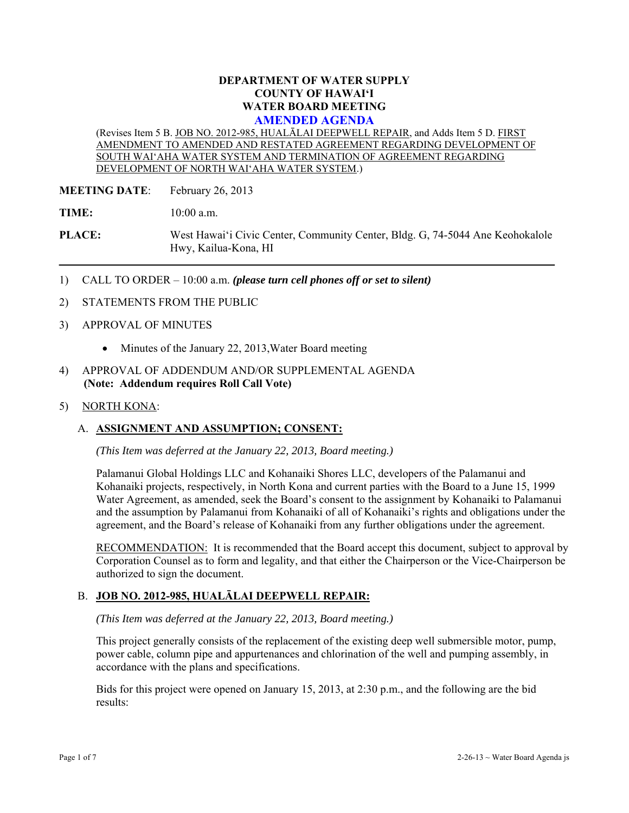### **DEPARTMENT OF WATER SUPPLY COUNTY OF HAWAI'I WATER BOARD MEETING AMENDED AGENDA**

(Revises Item 5 B. JOB NO. 2012-985, HUALĀLAI DEEPWELL REPAIR, and Adds Item 5 D. FIRST AMENDMENT TO AMENDED AND RESTATED AGREEMENT REGARDING DEVELOPMENT OF SOUTH WAI'AHA WATER SYSTEM AND TERMINATION OF AGREEMENT REGARDING DEVELOPMENT OF NORTH WAI'AHA WATER SYSTEM.)

**MEETING DATE:** February 26, 2013

**TIME:** 10:00 a.m.

**PLACE:** West Hawai'i Civic Center, Community Center, Bldg. G, 74-5044 Ane Keohokalole Hwy, Kailua-Kona, HI

- 1) CALL TO ORDER 10:00 a.m. *(please turn cell phones off or set to silent)*
- 2) STATEMENTS FROM THE PUBLIC
- 3) APPROVAL OF MINUTES
	- Minutes of the January 22, 2013, Water Board meeting
- 4) APPROVAL OF ADDENDUM AND/OR SUPPLEMENTAL AGENDA **(Note: Addendum requires Roll Call Vote)**
- 5) NORTH KONA:

### A. **ASSIGNMENT AND ASSUMPTION; CONSENT:**

*(This Item was deferred at the January 22, 2013, Board meeting.)* 

Palamanui Global Holdings LLC and Kohanaiki Shores LLC, developers of the Palamanui and Kohanaiki projects, respectively, in North Kona and current parties with the Board to a June 15, 1999 Water Agreement, as amended, seek the Board's consent to the assignment by Kohanaiki to Palamanui and the assumption by Palamanui from Kohanaiki of all of Kohanaiki's rights and obligations under the agreement, and the Board's release of Kohanaiki from any further obligations under the agreement.

RECOMMENDATION: It is recommended that the Board accept this document, subject to approval by Corporation Counsel as to form and legality, and that either the Chairperson or the Vice-Chairperson be authorized to sign the document.

### B. **JOB NO. 2012-985, HUALĀLAI DEEPWELL REPAIR:**

*(This Item was deferred at the January 22, 2013, Board meeting.)* 

This project generally consists of the replacement of the existing deep well submersible motor, pump, power cable, column pipe and appurtenances and chlorination of the well and pumping assembly, in accordance with the plans and specifications.

Bids for this project were opened on January 15, 2013, at 2:30 p.m., and the following are the bid results: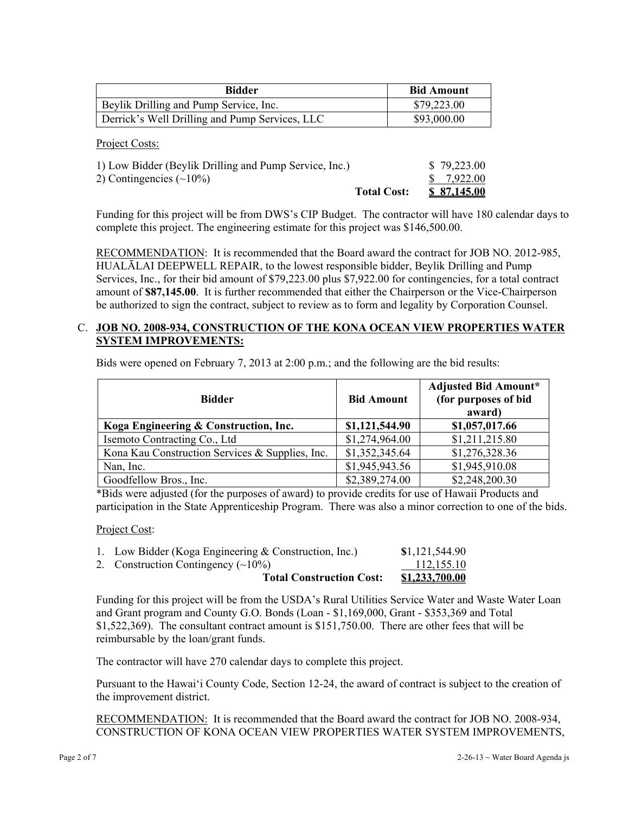| Bidder                                         | <b>Bid Amount</b> |
|------------------------------------------------|-------------------|
| Beylik Drilling and Pump Service, Inc.         | \$79,223.00       |
| Derrick's Well Drilling and Pump Services, LLC | \$93,000.00       |

Project Costs:

| 1) Low Bidder (Beylik Drilling and Pump Service, Inc.) | \$79,223.00 |
|--------------------------------------------------------|-------------|
| 2) Contingencies $(\sim 10\%)$                         | \$7,922.00  |
| <b>Total Cost:</b>                                     | \$87,145.00 |

Funding for this project will be from DWS's CIP Budget. The contractor will have 180 calendar days to complete this project. The engineering estimate for this project was \$146,500.00.

RECOMMENDATION: It is recommended that the Board award the contract for JOB NO. 2012-985, HUALĀLAI DEEPWELL REPAIR, to the lowest responsible bidder, Beylik Drilling and Pump Services, Inc., for their bid amount of \$79,223.00 plus \$7,922.00 for contingencies, for a total contract amount of **\$87,145.00**. It is further recommended that either the Chairperson or the Vice-Chairperson be authorized to sign the contract, subject to review as to form and legality by Corporation Counsel.

### C. **JOB NO. 2008-934, CONSTRUCTION OF THE KONA OCEAN VIEW PROPERTIES WATER SYSTEM IMPROVEMENTS:**

Bids were opened on February 7, 2013 at 2:00 p.m.; and the following are the bid results:

| <b>Bidder</b>                                   | <b>Bid Amount</b> | <b>Adjusted Bid Amount*</b><br>(for purposes of bid<br>award) |
|-------------------------------------------------|-------------------|---------------------------------------------------------------|
| Koga Engineering & Construction, Inc.           | \$1,121,544.90    | \$1,057,017.66                                                |
| Isemoto Contracting Co., Ltd                    | \$1,274,964.00    | \$1,211,215.80                                                |
| Kona Kau Construction Services & Supplies, Inc. | \$1,352,345.64    | \$1,276,328.36                                                |
| Nan, Inc.                                       | \$1,945,943.56    | \$1,945,910.08                                                |
| Goodfellow Bros., Inc.                          | \$2,389,274.00    | \$2,248,200.30                                                |

\*Bids were adjusted (for the purposes of award) to provide credits for use of Hawaii Products and participation in the State Apprenticeship Program. There was also a minor correction to one of the bids.

Project Cost:

| <b>Total Construction Cost:</b>                       | <u>\$1,233,700.00</u> |
|-------------------------------------------------------|-----------------------|
| 2. Construction Contingency $(\sim 10\%)$             | 112,155.10            |
| 1. Low Bidder (Koga Engineering & Construction, Inc.) | \$1,121,544.90        |

Funding for this project will be from the USDA's Rural Utilities Service Water and Waste Water Loan and Grant program and County G.O. Bonds (Loan - \$1,169,000, Grant - \$353,369 and Total \$1,522,369). The consultant contract amount is \$151,750.00. There are other fees that will be reimbursable by the loan/grant funds.

The contractor will have 270 calendar days to complete this project.

Pursuant to the Hawai'i County Code, Section 12-24, the award of contract is subject to the creation of the improvement district.

RECOMMENDATION: It is recommended that the Board award the contract for JOB NO. 2008-934, CONSTRUCTION OF KONA OCEAN VIEW PROPERTIES WATER SYSTEM IMPROVEMENTS,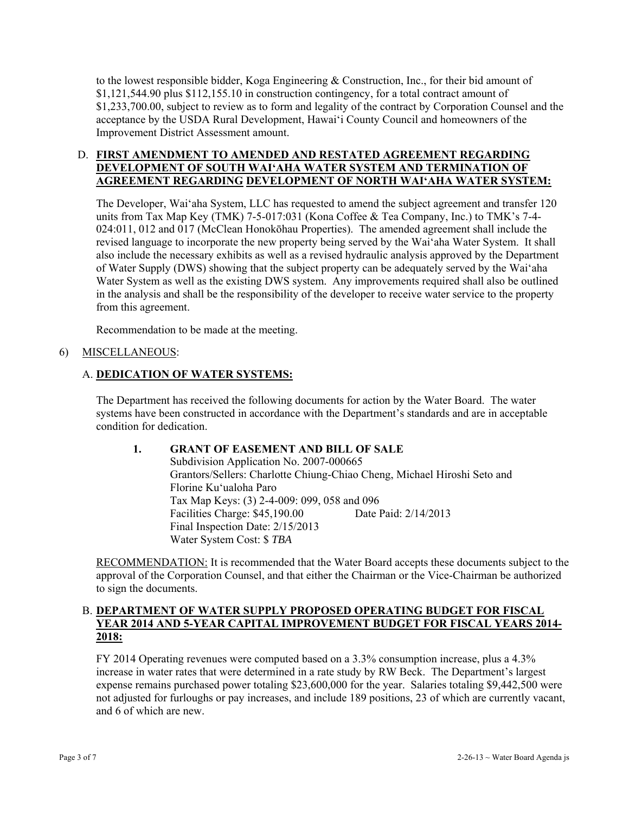to the lowest responsible bidder, Koga Engineering & Construction, Inc., for their bid amount of \$1,121,544.90 plus \$112,155.10 in construction contingency, for a total contract amount of \$1,233,700.00, subject to review as to form and legality of the contract by Corporation Counsel and the acceptance by the USDA Rural Development, Hawai'i County Council and homeowners of the Improvement District Assessment amount.

# D. **FIRST AMENDMENT TO AMENDED AND RESTATED AGREEMENT REGARDING DEVELOPMENT OF SOUTH WAI'AHA WATER SYSTEM AND TERMINATION OF AGREEMENT REGARDING DEVELOPMENT OF NORTH WAI'AHA WATER SYSTEM:**

The Developer, Wai'aha System, LLC has requested to amend the subject agreement and transfer 120 units from Tax Map Key (TMK) 7-5-017:031 (Kona Coffee & Tea Company, Inc.) to TMK's 7-4- 024:011, 012 and 017 (McClean Honokōhau Properties). The amended agreement shall include the revised language to incorporate the new property being served by the Wai'aha Water System. It shall also include the necessary exhibits as well as a revised hydraulic analysis approved by the Department of Water Supply (DWS) showing that the subject property can be adequately served by the Wai'aha Water System as well as the existing DWS system. Any improvements required shall also be outlined in the analysis and shall be the responsibility of the developer to receive water service to the property from this agreement.

Recommendation to be made at the meeting.

# 6) MISCELLANEOUS:

# A. **DEDICATION OF WATER SYSTEMS:**

The Department has received the following documents for action by the Water Board. The water systems have been constructed in accordance with the Department's standards and are in acceptable condition for dedication.

### **1. GRANT OF EASEMENT AND BILL OF SALE**

Subdivision Application No. 2007-000665 Grantors/Sellers: Charlotte Chiung-Chiao Cheng, Michael Hiroshi Seto and Florine Ku'ualoha Paro Tax Map Keys: (3) 2-4-009: 099, 058 and 096 Facilities Charge: \$45,190.00 Date Paid: 2/14/2013 Final Inspection Date: 2/15/2013 Water System Cost: \$ *TBA* 

RECOMMENDATION: It is recommended that the Water Board accepts these documents subject to the approval of the Corporation Counsel, and that either the Chairman or the Vice-Chairman be authorized to sign the documents.

## B. **DEPARTMENT OF WATER SUPPLY PROPOSED OPERATING BUDGET FOR FISCAL YEAR 2014 AND 5-YEAR CAPITAL IMPROVEMENT BUDGET FOR FISCAL YEARS 2014- 2018:**

FY 2014 Operating revenues were computed based on a 3.3% consumption increase, plus a 4.3% increase in water rates that were determined in a rate study by RW Beck. The Department's largest expense remains purchased power totaling \$23,600,000 for the year. Salaries totaling \$9,442,500 were not adjusted for furloughs or pay increases, and include 189 positions, 23 of which are currently vacant, and 6 of which are new.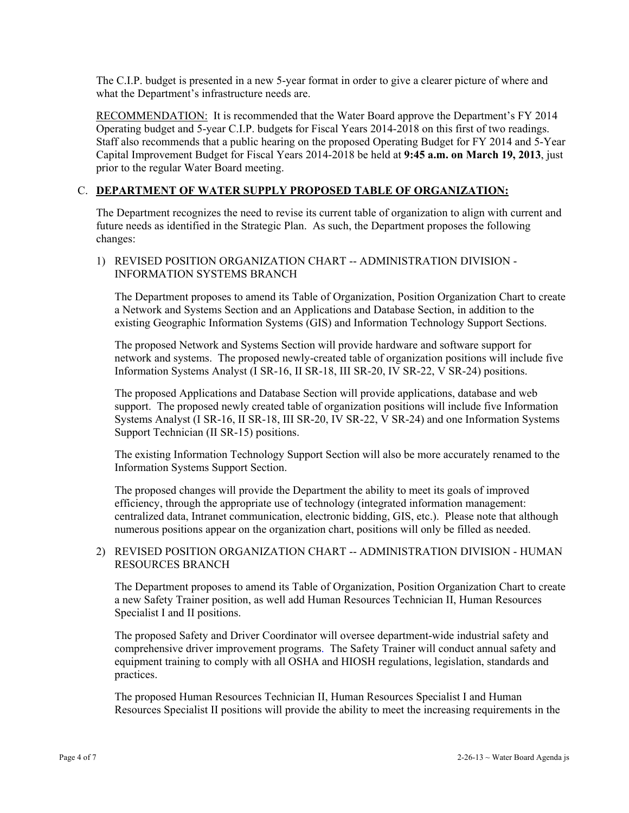The C.I.P. budget is presented in a new 5-year format in order to give a clearer picture of where and what the Department's infrastructure needs are.

RECOMMENDATION: It is recommended that the Water Board approve the Department's FY 2014 Operating budget and 5-year C.I.P. budgets for Fiscal Years 2014-2018 on this first of two readings. Staff also recommends that a public hearing on the proposed Operating Budget for FY 2014 and 5-Year Capital Improvement Budget for Fiscal Years 2014-2018 be held at **9:45 a.m. on March 19, 2013**, just prior to the regular Water Board meeting.

## C. **DEPARTMENT OF WATER SUPPLY PROPOSED TABLE OF ORGANIZATION:**

The Department recognizes the need to revise its current table of organization to align with current and future needs as identified in the Strategic Plan. As such, the Department proposes the following changes:

1) REVISED POSITION ORGANIZATION CHART -- ADMINISTRATION DIVISION - INFORMATION SYSTEMS BRANCH

The Department proposes to amend its Table of Organization, Position Organization Chart to create a Network and Systems Section and an Applications and Database Section, in addition to the existing Geographic Information Systems (GIS) and Information Technology Support Sections.

The proposed Network and Systems Section will provide hardware and software support for network and systems. The proposed newly-created table of organization positions will include five Information Systems Analyst (I SR-16, II SR-18, III SR-20, IV SR-22, V SR-24) positions.

The proposed Applications and Database Section will provide applications, database and web support. The proposed newly created table of organization positions will include five Information Systems Analyst (I SR-16, II SR-18, III SR-20, IV SR-22, V SR-24) and one Information Systems Support Technician (II SR-15) positions.

The existing Information Technology Support Section will also be more accurately renamed to the Information Systems Support Section.

The proposed changes will provide the Department the ability to meet its goals of improved efficiency, through the appropriate use of technology (integrated information management: centralized data, Intranet communication, electronic bidding, GIS, etc.). Please note that although numerous positions appear on the organization chart, positions will only be filled as needed.

# 2) REVISED POSITION ORGANIZATION CHART -- ADMINISTRATION DIVISION - HUMAN RESOURCES BRANCH

The Department proposes to amend its Table of Organization, Position Organization Chart to create a new Safety Trainer position, as well add Human Resources Technician II, Human Resources Specialist I and II positions.

The proposed Safety and Driver Coordinator will oversee department-wide industrial safety and comprehensive driver improvement programs. The Safety Trainer will conduct annual safety and equipment training to comply with all OSHA and HIOSH regulations, legislation, standards and practices.

The proposed Human Resources Technician II, Human Resources Specialist I and Human Resources Specialist II positions will provide the ability to meet the increasing requirements in the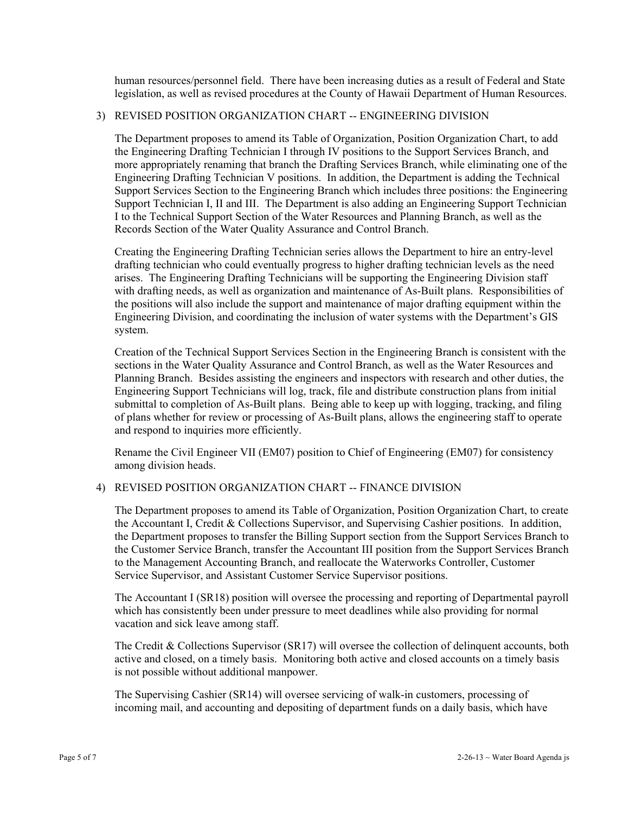human resources/personnel field. There have been increasing duties as a result of Federal and State legislation, as well as revised procedures at the County of Hawaii Department of Human Resources.

### 3) REVISED POSITION ORGANIZATION CHART -- ENGINEERING DIVISION

The Department proposes to amend its Table of Organization, Position Organization Chart, to add the Engineering Drafting Technician I through IV positions to the Support Services Branch, and more appropriately renaming that branch the Drafting Services Branch, while eliminating one of the Engineering Drafting Technician V positions. In addition, the Department is adding the Technical Support Services Section to the Engineering Branch which includes three positions: the Engineering Support Technician I, II and III. The Department is also adding an Engineering Support Technician I to the Technical Support Section of the Water Resources and Planning Branch, as well as the Records Section of the Water Quality Assurance and Control Branch.

Creating the Engineering Drafting Technician series allows the Department to hire an entry-level drafting technician who could eventually progress to higher drafting technician levels as the need arises. The Engineering Drafting Technicians will be supporting the Engineering Division staff with drafting needs, as well as organization and maintenance of As-Built plans. Responsibilities of the positions will also include the support and maintenance of major drafting equipment within the Engineering Division, and coordinating the inclusion of water systems with the Department's GIS system.

Creation of the Technical Support Services Section in the Engineering Branch is consistent with the sections in the Water Quality Assurance and Control Branch, as well as the Water Resources and Planning Branch. Besides assisting the engineers and inspectors with research and other duties, the Engineering Support Technicians will log, track, file and distribute construction plans from initial submittal to completion of As-Built plans. Being able to keep up with logging, tracking, and filing of plans whether for review or processing of As-Built plans, allows the engineering staff to operate and respond to inquiries more efficiently.

Rename the Civil Engineer VII (EM07) position to Chief of Engineering (EM07) for consistency among division heads.

#### 4) REVISED POSITION ORGANIZATION CHART -- FINANCE DIVISION

The Department proposes to amend its Table of Organization, Position Organization Chart, to create the Accountant I, Credit & Collections Supervisor, and Supervising Cashier positions. In addition, the Department proposes to transfer the Billing Support section from the Support Services Branch to the Customer Service Branch, transfer the Accountant III position from the Support Services Branch to the Management Accounting Branch, and reallocate the Waterworks Controller, Customer Service Supervisor, and Assistant Customer Service Supervisor positions.

The Accountant I (SR18) position will oversee the processing and reporting of Departmental payroll which has consistently been under pressure to meet deadlines while also providing for normal vacation and sick leave among staff.

The Credit & Collections Supervisor (SR17) will oversee the collection of delinquent accounts, both active and closed, on a timely basis. Monitoring both active and closed accounts on a timely basis is not possible without additional manpower.

The Supervising Cashier (SR14) will oversee servicing of walk-in customers, processing of incoming mail, and accounting and depositing of department funds on a daily basis, which have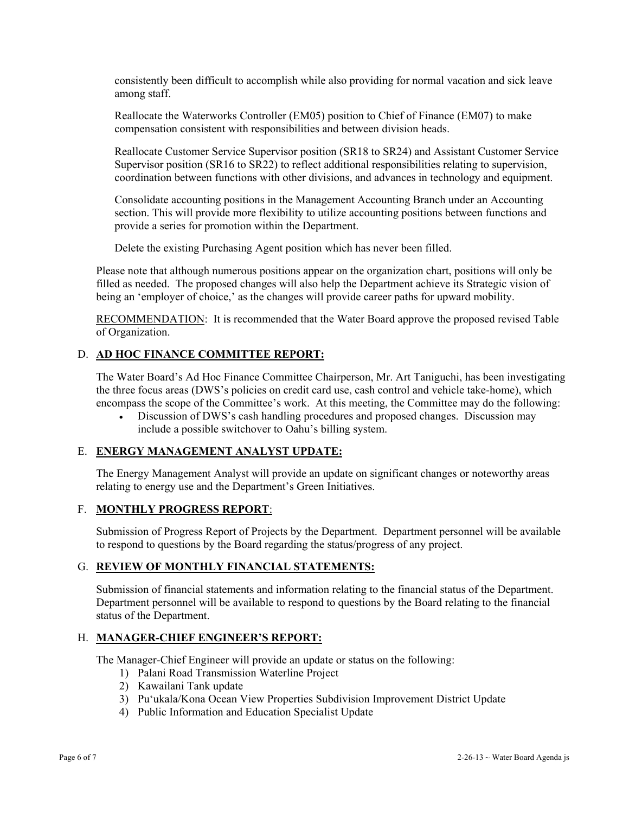consistently been difficult to accomplish while also providing for normal vacation and sick leave among staff.

Reallocate the Waterworks Controller (EM05) position to Chief of Finance (EM07) to make compensation consistent with responsibilities and between division heads.

Reallocate Customer Service Supervisor position (SR18 to SR24) and Assistant Customer Service Supervisor position (SR16 to SR22) to reflect additional responsibilities relating to supervision, coordination between functions with other divisions, and advances in technology and equipment.

Consolidate accounting positions in the Management Accounting Branch under an Accounting section. This will provide more flexibility to utilize accounting positions between functions and provide a series for promotion within the Department.

Delete the existing Purchasing Agent position which has never been filled.

Please note that although numerous positions appear on the organization chart, positions will only be filled as needed. The proposed changes will also help the Department achieve its Strategic vision of being an 'employer of choice,' as the changes will provide career paths for upward mobility.

RECOMMENDATION: It is recommended that the Water Board approve the proposed revised Table of Organization.

### D. **AD HOC FINANCE COMMITTEE REPORT:**

The Water Board's Ad Hoc Finance Committee Chairperson, Mr. Art Taniguchi, has been investigating the three focus areas (DWS's policies on credit card use, cash control and vehicle take-home), which encompass the scope of the Committee's work. At this meeting, the Committee may do the following:

 Discussion of DWS's cash handling procedures and proposed changes. Discussion may include a possible switchover to Oahu's billing system.

#### E. **ENERGY MANAGEMENT ANALYST UPDATE:**

The Energy Management Analyst will provide an update on significant changes or noteworthy areas relating to energy use and the Department's Green Initiatives.

#### F. **MONTHLY PROGRESS REPORT**:

Submission of Progress Report of Projects by the Department. Department personnel will be available to respond to questions by the Board regarding the status/progress of any project.

#### G. **REVIEW OF MONTHLY FINANCIAL STATEMENTS:**

Submission of financial statements and information relating to the financial status of the Department. Department personnel will be available to respond to questions by the Board relating to the financial status of the Department.

### H. **MANAGER-CHIEF ENGINEER'S REPORT:**

The Manager-Chief Engineer will provide an update or status on the following:

- 1) Palani Road Transmission Waterline Project
- 2) Kawailani Tank update
- 3) Pu'ukala/Kona Ocean View Properties Subdivision Improvement District Update
- 4) Public Information and Education Specialist Update